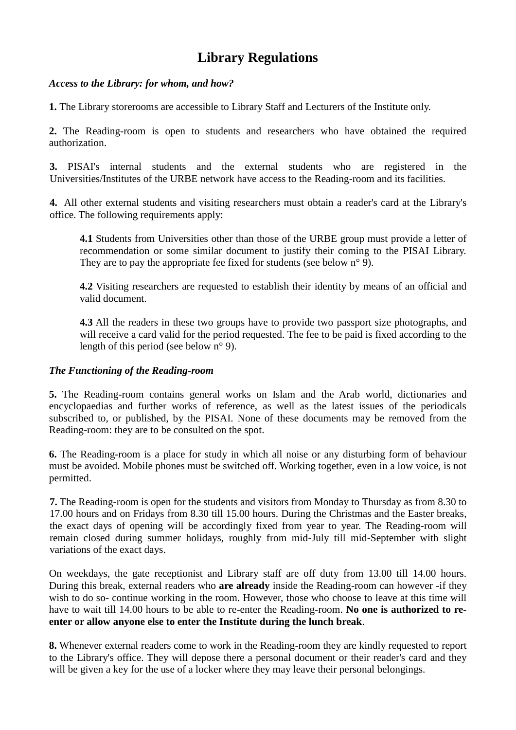# **Library Regulations**

### *Access to the Library: for whom, and how?*

**1.** The Library storerooms are accessible to Library Staff and Lecturers of the Institute only.

**2.** The Reading-room is open to students and researchers who have obtained the required authorization.

**3.** PISAI's internal students and the external students who are registered in the Universities/Institutes of the URBE network have access to the Reading-room and its facilities.

**4.** All other external students and visiting researchers must obtain a reader's card at the Library's office. The following requirements apply:

**4.1** Students from Universities other than those of the URBE group must provide a letter of recommendation or some similar document to justify their coming to the PISAI Library. They are to pay the appropriate fee fixed for students (see below  $n^{\circ}$  9).

**4.2** Visiting researchers are requested to establish their identity by means of an official and valid document.

**4.3** All the readers in these two groups have to provide two passport size photographs, and will receive a card valid for the period requested. The fee to be paid is fixed according to the length of this period (see below n° 9).

# *The Functioning of the Reading-room*

**5.** The Reading-room contains general works on Islam and the Arab world, dictionaries and encyclopaedias and further works of reference, as well as the latest issues of the periodicals subscribed to, or published, by the PISAI. None of these documents may be removed from the Reading-room: they are to be consulted on the spot.

**6.** The Reading-room is a place for study in which all noise or any disturbing form of behaviour must be avoided. Mobile phones must be switched off. Working together, even in a low voice, is not permitted.

**7.** The Reading-room is open for the students and visitors from Monday to Thursday as from 8.30 to 17.00 hours and on Fridays from 8.30 till 15.00 hours. During the Christmas and the Easter breaks, the exact days of opening will be accordingly fixed from year to year. The Reading-room will remain closed during summer holidays, roughly from mid-July till mid-September with slight variations of the exact days.

On weekdays, the gate receptionist and Library staff are off duty from 13.00 till 14.00 hours. During this break, external readers who **are already** inside the Reading-room can however -if they wish to do so- continue working in the room. However, those who choose to leave at this time will have to wait till 14.00 hours to be able to re-enter the Reading-room. **No one is authorized to reenter or allow anyone else to enter the Institute during the lunch break**.

**8.** Whenever external readers come to work in the Reading-room they are kindly requested to report to the Library's office. They will depose there a personal document or their reader's card and they will be given a key for the use of a locker where they may leave their personal belongings.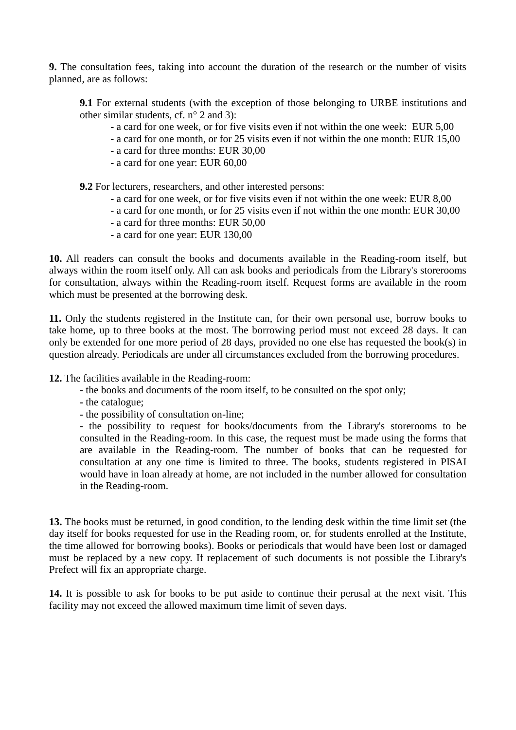**9.** The consultation fees, taking into account the duration of the research or the number of visits planned, are as follows:

**9.1** For external students (with the exception of those belonging to URBE institutions and other similar students, cf. n° 2 and 3):

- **-** a card for one week, or for five visits even if not within the one week: EUR 5,00
- **-** a card for one month, or for 25 visits even if not within the one month: EUR 15,00
- **-** a card for three months: EUR 30,00
- **-** a card for one year: EUR 60,00

**9.2** For lecturers, researchers, and other interested persons:

- **-** a card for one week, or for five visits even if not within the one week: EUR 8,00
- **-** a card for one month, or for 25 visits even if not within the one month: EUR 30,00
- **-** a card for three months: EUR 50,00
- **-** a card for one year: EUR 130,00

**10.** All readers can consult the books and documents available in the Reading-room itself, but always within the room itself only. All can ask books and periodicals from the Library's storerooms for consultation, always within the Reading-room itself. Request forms are available in the room which must be presented at the borrowing desk.

**11.** Only the students registered in the Institute can, for their own personal use, borrow books to take home, up to three books at the most. The borrowing period must not exceed 28 days. It can only be extended for one more period of 28 days, provided no one else has requested the book(s) in question already. Periodicals are under all circumstances excluded from the borrowing procedures.

**12.** The facilities available in the Reading-room:

- **-** the books and documents of the room itself, to be consulted on the spot only;
- **-** the catalogue;
- **-** the possibility of consultation on-line;

**-** the possibility to request for books/documents from the Library's storerooms to be consulted in the Reading-room. In this case, the request must be made using the forms that are available in the Reading-room. The number of books that can be requested for consultation at any one time is limited to three. The books, students registered in PISAI would have in loan already at home, are not included in the number allowed for consultation in the Reading-room.

**13.** The books must be returned, in good condition, to the lending desk within the time limit set (the day itself for books requested for use in the Reading room, or, for students enrolled at the Institute, the time allowed for borrowing books). Books or periodicals that would have been lost or damaged must be replaced by a new copy. If replacement of such documents is not possible the Library's Prefect will fix an appropriate charge.

**14.** It is possible to ask for books to be put aside to continue their perusal at the next visit. This facility may not exceed the allowed maximum time limit of seven days.